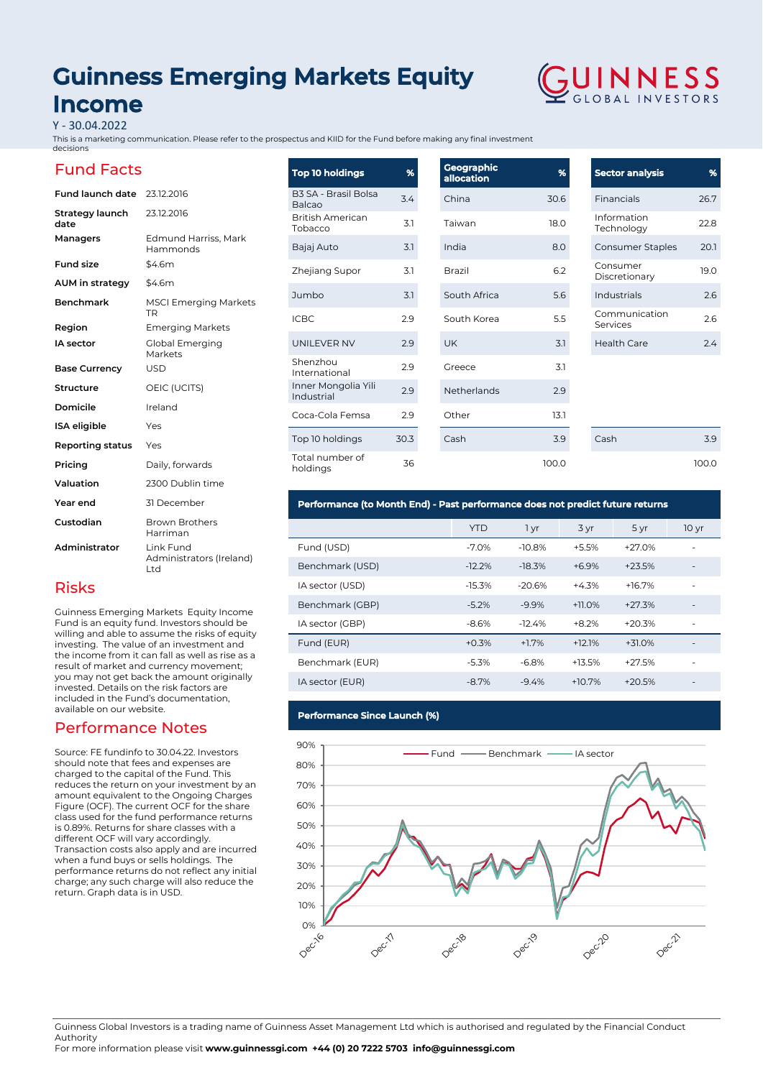# **Guinness Emerging Markets Equity Income**



Y - 30.04.2022

This is a marketing communication. Please refer to the prospectus and KIID for the Fund before making any final investment decisions

# Fund Facts

Risks

available on our website.

return. Graph data is in USD.

Performance Notes

Source: FE fundinfo to 30.04.22. Investors should note that fees and expenses are charged to the capital of the Fund. This reduces the return on your investment by an amount equivalent to the Ongoing Charges Figure (OCF). The current OCF for the share class used for the fund performance returns is 0.89%. Returns for share classes with a different OCF will vary accordingly.

Transaction costs also apply and are incurred when a fund buys or sells holdings. The performance returns do not reflect any initial charge; any such charge will also reduce the

| <b>Fund launch date</b> | 23.12.2016                                   |
|-------------------------|----------------------------------------------|
| Strategy launch<br>date | 23.12.2016                                   |
| Managers                | Edmund Harriss, Mark<br>Hammonds             |
| <b>Fund size</b>        | \$4.6m                                       |
| AUM in strategy         | \$4.6m                                       |
| <b>Benchmark</b>        | <b>MSCI Emerging Markets</b><br>TR           |
| Region                  | <b>Emerging Markets</b>                      |
| <b>IA</b> sector        | Global Emerging<br>Markets                   |
| <b>Base Currency</b>    | <b>USD</b>                                   |
| Structure               | OEIC (UCITS)                                 |
| Domicile                | Ireland                                      |
| <b>ISA</b> eligible     | Yes                                          |
| Reporting status        | Yes                                          |
| Pricing                 | Daily, forwards                              |
| Valuation               | 2300 Dublin time                             |
| Year end                | 31 December                                  |
| Custodian               | <b>Brown Brothers</b><br>Harriman            |
| Administrator           | Link Fund<br>Administrators (Ireland)<br>Ltd |

Guinness Emerging Markets Equity Income Fund is an equity fund. Investors should be willing and able to assume the risks of equity investing. The value of an investment and the income from it can fall as well as rise as a result of market and currency movement; you may not get back the amount originally invested. Details on the risk factors are included in the Fund's documentation,

#### **Geographic allocation %** China 30.6 Taiwan 18.0 India 8.0 Brazil 6.2 South Africa 5.6 South Korea 5.5 UK 3.1 Greece 3.1 Netherlands 2.9 Other 13.1 Cash 3.9 **Top 10 holdings %** B3 SA - Brasil Bolsa Balcao 3.4<br>Balcao British American Tobacco 3.1 Bajaj Auto 3.1 Zhejiang Supor 3.1 Jumbo 3.1 ICBC 2.9 UNILEVER NV 2.9 Shenzhou International 2.9 Inner Mongolia Yili Inner Mongolia YIII 2.9 Coca-Cola Femsa 2.9 Top 10 holdings 30.3 Total number of Total number of the control of the control of the control of the control of the control of the control of the c<br>body specifies the control of the control of the control of the control of the control of the control of the c

| <b>Sector analysis</b>    | %    |
|---------------------------|------|
| Financials                | 26.7 |
| Information<br>Technology | 22 B |
| <b>Consumer Staples</b>   | 201  |
| Consumer<br>Discretionary | 19.0 |
| Industrials               | 26   |
| Communication<br>Services | 26   |
| <b>Health Care</b>        | 24   |

Cash 3.9 100.0

## **Performance (to Month End) - Past performance does not predict future returns**

|                 | <b>YTD</b> | 1 yr     | 3 yr     | 5 yr     | 10 <sub>yr</sub>         |
|-----------------|------------|----------|----------|----------|--------------------------|
| Fund (USD)      | $-7.0%$    | $-10.8%$ | $+5.5%$  | $+27.0%$ | ٠                        |
| Benchmark (USD) | $-12.2%$   | $-18.3%$ | $+6.9%$  | $+23.5%$ | $\overline{\phantom{a}}$ |
| IA sector (USD) | $-15.3%$   | $-20.6%$ | $+4.3%$  | $+16.7%$ | ٠                        |
| Benchmark (GBP) | $-5.2%$    | $-9.9%$  | $+11.0%$ | $+27.3%$ | ٠                        |
| IA sector (GBP) | $-8.6%$    | $-12.4%$ | $+8.2%$  | $+20.3%$ | ٠                        |
| Fund (EUR)      | $+0.3%$    | $+1.7%$  | $+12.1%$ | $+31.0%$ |                          |
| Benchmark (EUR) | $-5.3%$    | $-6.8%$  | $+13.5%$ | $+27.5%$ |                          |
| IA sector (EUR) | $-8.7%$    | $-9.4%$  | $+10.7%$ | $+20.5%$ |                          |

100.0

## **Performance Since Launch (%)**



Guinness Global Investors is a trading name of Guinness Asset Management Ltd which is authorised and regulated by the Financial Conduct Authority

For more information please visit **www.guinnessgi.com +44 (0) 20 7222 5703 info@guinnessgi.com**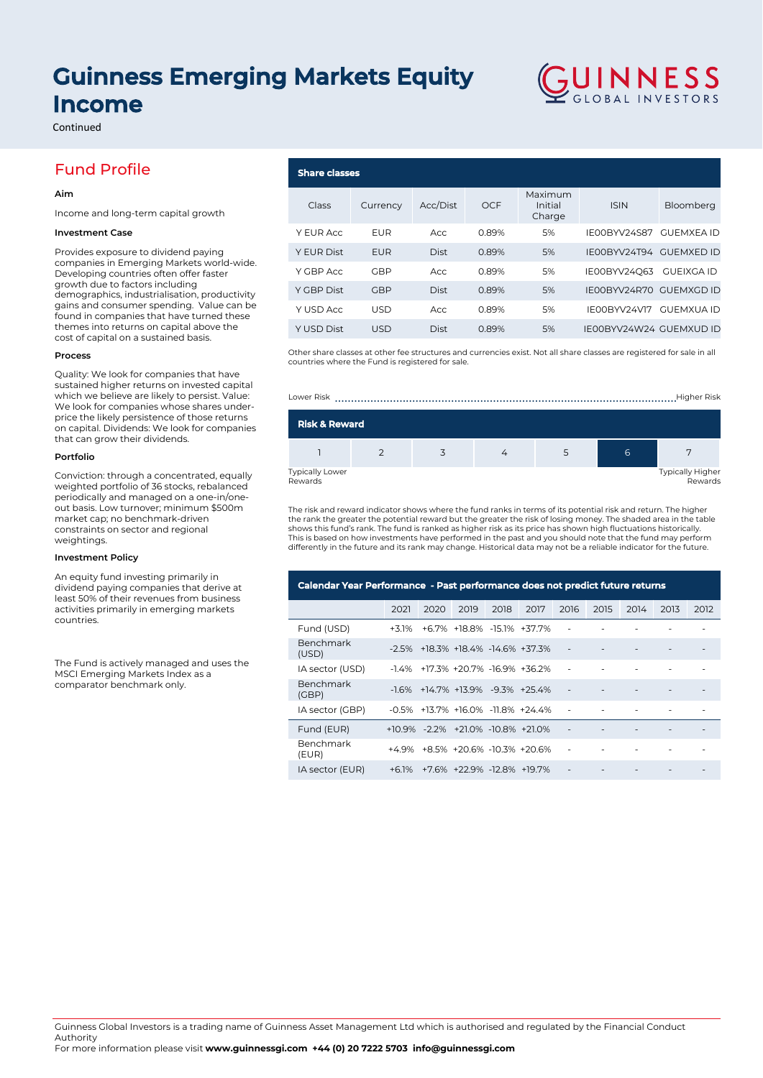# **Guinness Emerging Markets Equity Income**

Continued

# Fund Profile

### **Aim**

Income and long-term capital growth

### **Investment Case**

Provides exposure to dividend paying companies in Emerging Markets world-wide. Developing countries often offer faster growth due to factors including demographics, industrialisation, productivity gains and consumer spending. Value can be found in companies that have turned these themes into returns on capital above the cost of capital on a sustained basis.

#### **Process**

Quality: We look for companies that have sustained higher returns on invested capital which we believe are likely to persist. Value: We look for companies whose shares underprice the likely persistence of those returns on capital. Dividends: We look for companies that can grow their dividends.

#### **Portfolio**

Conviction: through a concentrated, equally weighted portfolio of 36 stocks, rebalanced periodically and managed on a one-in/oneout basis. Low turnover; minimum \$500m market cap; no benchmark-driven constraints on sector and regional weightings.

#### **Investment Policy**

An equity fund investing primarily in dividend paying companies that derive at least 50% of their revenues from business activities primarily in emerging markets countries.

The Fund is actively managed and uses the MSCI Emerging Markets Index as a comparator benchmark only.

### **Share classes** Class Currency Acc/Dist OCF Maximum Initial Charge ISIN Bloomberg Y EUR Acc EUR Acc 0.89% 5% IE00BYV24S87 GUEMXEA ID Y EUR Dist EUR Dist 0.89% 5% IE00BYV24T94 GUEMXED ID Y GBP Acc GBP Acc 0.89% 5% IE00BYV24Q63 GUEIXGA ID Y GBP Dist GBP Dist 0.89% 5% IE00BYV24R70 GUEMXGD ID Y USD Acc USD Acc 0.89% 5% IE00BYV24V17 GUEMXUA ID Y USD Dist USD Dist 0.89% 5% IE00BYV24W24 GUEMXUD ID

GUINNESS

Other share classes at other fee structures and currencies exist. Not all share classes are registered for sale in all countries where the Fund is registered for sale.





The risk and reward indicator shows where the fund ranks in terms of its potential risk and return. The higher the rank the greater the potential reward but the greater the risk of losing money. The shaded area in the table<br>shows this fund's rank. The fund is ranked as higher risk as its price has shown high fluctuations historical This is based on how investments have performed in the past and you should note that the fund may perform differently in the future and its rank may change. Historical data may not be a reliable indicator for the future.

| Calendar Year Performance - Past performance does not predict future returns |          |      |                                                  |      |      |                          |      |      |      |      |
|------------------------------------------------------------------------------|----------|------|--------------------------------------------------|------|------|--------------------------|------|------|------|------|
|                                                                              | 2021     | 2020 | 2019                                             | 2018 | 2017 | 2016                     | 2015 | 2014 | 2013 | 2012 |
| Fund (USD)                                                                   | $+3.1%$  |      | +6.7% +18.8% -15.1% +37.7%                       |      |      |                          |      |      |      |      |
| <b>Benchmark</b><br>(USD)                                                    |          |      | $-2.5\%$ $+18.3\%$ $+18.4\%$ $-14.6\%$ $+37.3\%$ |      |      | $\overline{\phantom{a}}$ |      |      |      |      |
| IA sector (USD)                                                              | -14%     |      | +17.3% +20.7% -16.9% +36.2%                      |      |      |                          |      |      |      |      |
| Benchmark<br>(GBP)                                                           | $-16%$   |      | +14 7% +13 9% -9 3% +25 4%                       |      |      |                          |      |      |      |      |
| IA sector (GBP)                                                              |          |      | $-0.5\%$ $+13.7\%$ $+16.0\%$ $-11.8\%$ $+24.4\%$ |      |      | ٠                        |      |      |      |      |
| Fund (EUR)                                                                   | $+10.9%$ |      | $-2.2\%$ $+21.0\%$ $-10.8\%$ $+21.0\%$           |      |      | $\overline{\phantom{a}}$ |      |      |      |      |
| Benchmark<br>(EUR)                                                           | +4 9%    |      | +8.5% +20.6% -10.3% +20.6%                       |      |      |                          |      |      |      |      |
| IA sector (EUR)                                                              | $+61%$   |      | +7.6% +22.9% -12.8% +19.7%                       |      |      |                          |      |      |      |      |